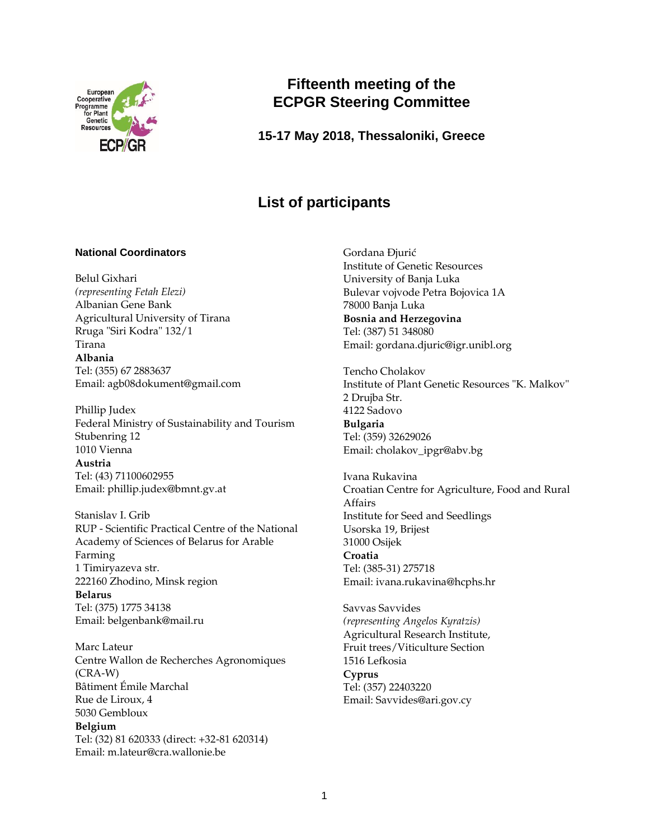

# **Fifteenth meeting of the ECPGR Steering Committee**

# **15-17 May 2018, Thessaloniki, Greece**

# **List of participants**

## **National Coordinators**

Belul Gixhari *(representing Fetah Elezi)* Albanian Gene Bank Agricultural University of Tirana Rruga "Siri Kodra" 132/1 Tirana **Albania**  Tel: (355) 67 2883637 Email: agb08dokument@gmail.com

Phillip Judex Federal Ministry of Sustainability and Tourism Stubenring 12 1010 Vienna **Austria**  Tel: (43) 71100602955 Email: phillip.judex@bmnt.gv.at

Stanislav I. Grib RUP - Scientific Practical Centre of the National Academy of Sciences of Belarus for Arable Farming 1 Timiryazeva str. 222160 Zhodino, Minsk region **Belarus** Tel: (375) 1775 34138 Email: belgenbank@mail.ru

Marc Lateur Centre Wallon de Recherches Agronomiques (CRA-W) Bâtiment Émile Marchal Rue de Liroux, 4 5030 Gembloux **Belgium** Tel: (32) 81 620333 (direct: +32-81 620314) Email: m.lateur@cra.wallonie.be

Gordana Ðjurić Institute of Genetic Resources University of Banja Luka Bulevar vojvode Petra Bojovica 1A 78000 Banja Luka **Bosnia and Herzegovina** Tel: (387) 51 348080 Email: gordana.djuric@igr.unibl.org

Tencho Cholakov Institute of Plant Genetic Resources "K. Malkov" 2 Drujba Str. 4122 Sadovo **Bulgaria** Tel: (359) 32629026 Email: cholakov\_ipgr@abv.bg

Ivana Rukavina Croatian Centre for Agriculture, Food and Rural Affairs Institute for Seed and Seedlings Usorska 19, Brijest 31000 Osijek **Croatia** Tel: (385-31) 275718 Email: ivana.rukavina@hcphs.hr

Savvas Savvides *(representing Angelos Kyratzis)* Agricultural Research Institute, Fruit trees/Viticulture Section 1516 Lefkosia **Cyprus** Tel: (357) 22403220 Email: Savvides@ari.gov.cy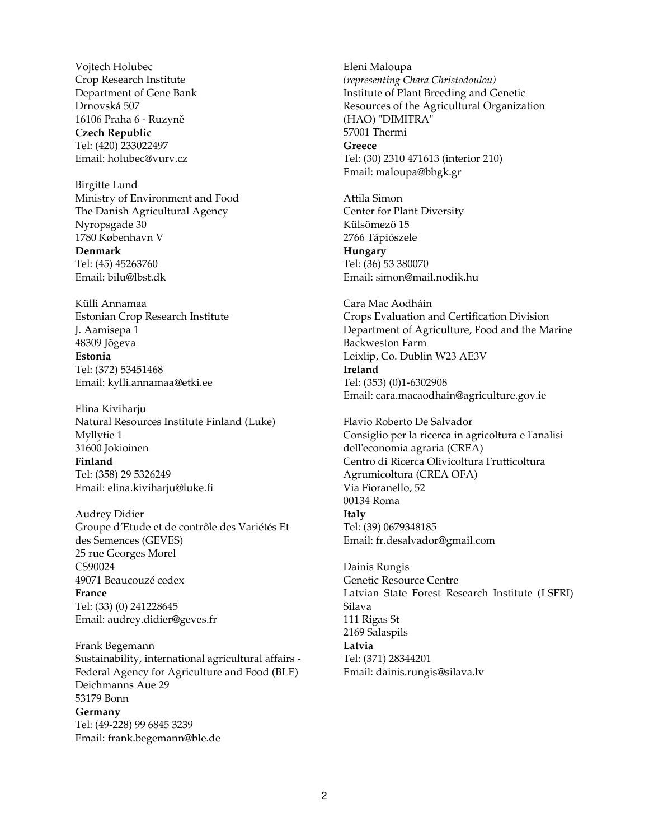Vojtech Holubec Crop Research Institute Department of Gene Bank Drnovská 507 16106 Praha 6 - Ruzyně **Czech Republic** Tel: (420) 233022497 Email: holubec@vurv.cz

Birgitte Lund Ministry of Environment and Food The Danish Agricultural Agency Nyropsgade 30 1780 København V **Denmark** Tel: (45) 45263760 Email: bilu@lbst.dk

Külli Annamaa Estonian Crop Research Institute J. Aamisepa 1 48309 Jõgeva **Estonia** Tel: (372) 53451468 Email: kylli.annamaa@etki.ee

Elina Kiviharju Natural Resources Institute Finland (Luke) Myllytie 1 31600 Jokioinen **Finland** Tel: (358) 29 5326249 Email: elina.kiviharju@luke.fi

Audrey Didier Groupe d'Etude et de contrôle des Variétés Et des Semences (GEVES) 25 rue Georges Morel CS90024 49071 Beaucouzé cedex **France** Tel: (33) (0) 241228645 Email: audrey.didier@geves.fr

Frank Begemann Sustainability, international agricultural affairs - Federal Agency for Agriculture and Food (BLE) Deichmanns Aue 29 53179 Bonn **Germany** Tel: (49-228) 99 6845 3239 Email: frank.begemann@ble.de

Eleni Maloupa *(representing Chara Christodoulou)* Institute of Plant Breeding and Genetic Resources of the Agricultural Organization (HAO) "DIMITRA" 57001 Thermi **Greece** Tel: (30) 2310 471613 (interior 210) Email: maloupa@bbgk.gr

Attila Simon Center for Plant Diversity Külsömezö 15 2766 Tápiószele **Hungary** Tel: (36) 53 380070 Email: simon@mail.nodik.hu

Cara Mac Aodháin Crops Evaluation and Certification Division Department of Agriculture, Food and the Marine Backweston Farm Leixlip, Co. Dublin W23 AE3V **Ireland** Tel: (353) (0)1-6302908 Email: [cara.macaodhain@agriculture.gov.ie](mailto:cara.macaodhain@agriculture.gov.ie)

Flavio Roberto De Salvador Consiglio per la ricerca in agricoltura e l'analisi dell'economia agraria (CREA) Centro di Ricerca Olivicoltura Frutticoltura Agrumicoltura (CREA OFA) Via Fioranello, 52 00134 Roma **Italy** Tel: (39) 0679348185 Email: fr.desalvador@gmail.com

Dainis Rungis Genetic Resource Centre Latvian State Forest Research Institute (LSFRI) Silava 111 Rigas St 2169 Salaspils **Latvia** Tel: (371) 28344201 Email: dainis.rungis@silava.lv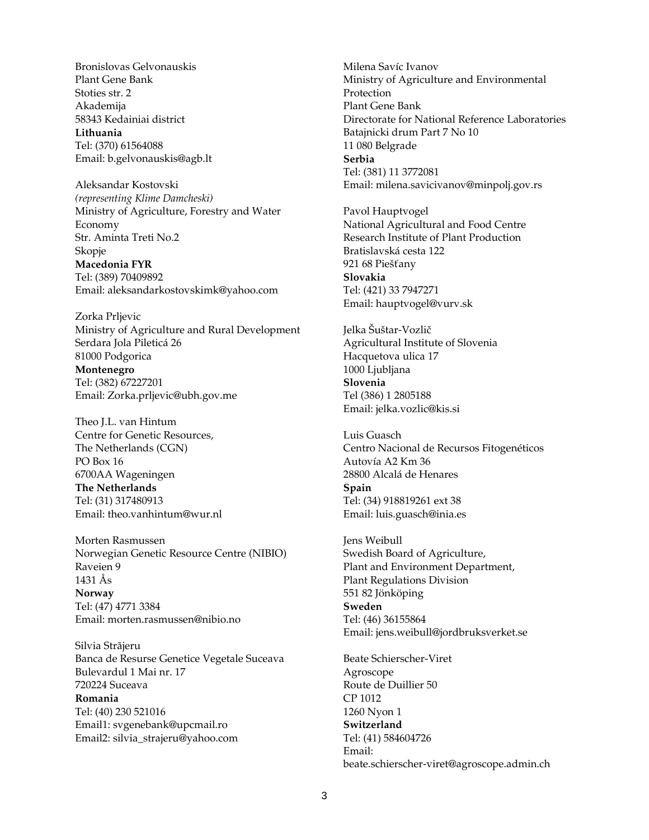Bronislovas Gelvonauskis Plant Gene Bank Stoties str. 2 Akademija 58343 Kedainiai district **Lithuania** Tel: (370) 61564088 Email: b.gelvonauskis@agb.lt

Aleksandar Kostovski *(representing Klime Damcheski)* Ministry of Agriculture, Forestry and Water Economy Str. Aminta Treti No.2 Skopje **Macedonia FYR** Tel: (389) 70409892 Email: aleksandarkostovskimk@yahoo.com

Zorka Prljevic Ministry of Agriculture and Rural Development Serdara Jola Pileticá 26 81000 Podgorica **Montenegro** Tel: (382) 67227201 Email: Zorka.prljevic@ubh.gov.me

Theo J.L. van Hintum Centre for Genetic Resources, The Netherlands (CGN) PO Box 16 6700AA Wageningen **The Netherlands** Tel: (31) 317480913 Email: theo.vanhintum@wur.nl

Morten Rasmussen Norwegian Genetic Resource Centre (NIBIO) Raveien 9 1431 Ås **Norway** Tel: (47) 4771 3384 Email: morten.rasmussen@nibio.no

Silvia Strãjeru Banca de Resurse Genetice Vegetale Suceava Bulevardul 1 Mai nr. 17 720224 Suceava **Romania** Tel: (40) 230 521016 Email1: svgenebank@upcmail.ro Email2: silvia\_strajeru@yahoo.com

Milena Savíc Ivanov Ministry of Agriculture and Environmental Protection Plant Gene Bank Directorate for National Reference Laboratories Batajnicki drum Part 7 No 10 11 080 Belgrade **Serbia** Tel: (381) 11 3772081 Email: milena.savicivanov@minpolj.gov.rs

Pavol Hauptvogel National Agricultural and Food Centre Research Institute of Plant Production Bratislavská cesta 122 921 68 Piešťany **Slovakia** Tel: (421) 33 7947271 Email: hauptvogel@vurv.sk

Jelka Šuštar-Vozlič Agricultural Institute of Slovenia Hacquetova ulica 17 1000 Ljubljana **Slovenia** Tel (386) 1 2805188 Email: jelka.vozlic@kis.si

Luis Guasch Centro Nacional de Recursos Fitogenéticos Autovía A2 Km 36 28800 Alcalá de Henares **Spain** Tel: (34) 918819261 ext 38 Email: luis.guasch@inia.es

Jens Weibull Swedish Board of Agriculture, Plant and Environment Department, Plant Regulations Division 551 82 Jönköping **Sweden** Tel: (46) 36155864 Email: jens.weibull@jordbruksverket.se

Beate Schierscher-Viret Agroscope Route de Duillier 50 CP 1012 1260 Nyon 1 **Switzerland** Tel: (41) 584604726 Email: beate.schierscher-viret@agroscope.admin.ch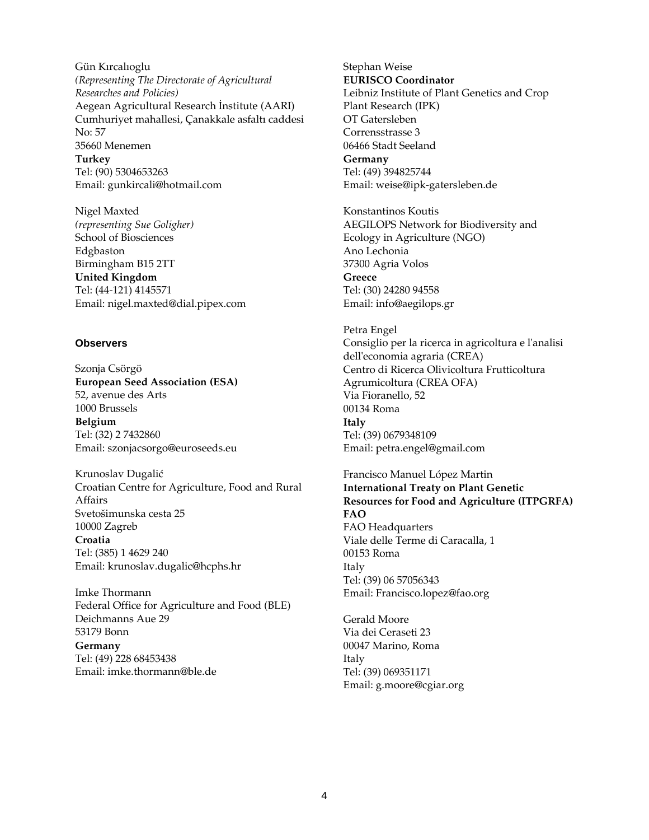Gün Kırcalıoglu *(Representing The Directorate of Agricultural Researches and Policies)* Aegean Agricultural Research İnstitute (AARI) Cumhuriyet mahallesi, Çanakkale asfaltı caddesi No: 57 35660 Menemen **Turkey**  Tel: (90) 5304653263 Email: gunkircali@hotmail.com

Nigel Maxted *(representing Sue Goligher)* School of Biosciences Edgbaston Birmingham B15 2TT **United Kingdom** Tel: (44-121) 4145571 Email: nigel.maxted@dial.pipex.com

#### **Observers**

Szonja Csörgö **European Seed Association (ESA)** 52, avenue des Arts 1000 Brussels **Belgium** Tel: (32) 2 7432860 Email: szonjacsorgo@euroseeds.eu

Krunoslav Dugalić Croatian Centre for Agriculture, Food and Rural Affairs Svetošimunska cesta 25 10000 Zagreb **Croatia** Tel: (385) 1 4629 240 Email: krunoslav.dugalic@hcphs.hr

Imke Thormann Federal Office for Agriculture and Food (BLE) Deichmanns Aue 29 53179 Bonn **Germany** Tel: (49) 228 68453438 Email: imke.thormann@ble.de

Stephan Weise **EURISCO Coordinator** Leibniz Institute of Plant Genetics and Crop Plant Research (IPK) OT Gatersleben Corrensstrasse 3 06466 Stadt Seeland **Germany** Tel: (49) 394825744 Email: weise@ipk-gatersleben.de

Konstantinos Koutis AEGILOPS Network for Biodiversity and Ecology in Agriculture (NGO) Ano Lechonia 37300 Agria Volos **Greece**  Tel: (30) 24280 94558 Email: info@aegilops.gr

Petra Engel Consiglio per la ricerca in agricoltura e l'analisi dell'economia agraria (CREA) Centro di Ricerca Olivicoltura Frutticoltura Agrumicoltura (CREA OFA) Via Fioranello, 52 00134 Roma **Italy** Tel: (39) 0679348109 Email: petra.engel@gmail.com

Francisco Manuel López Martin **International Treaty on Plant Genetic Resources for Food and Agriculture (ITPGRFA) FAO** FAO Headquarters Viale delle Terme di Caracalla, 1 00153 Roma

Italy Tel: (39) 06 57056343 Email: Francisco.lopez@fao.org

Gerald Moore Via dei Ceraseti 23 00047 Marino, Roma Italy Tel: (39) 069351171 Email: g.moore@cgiar.org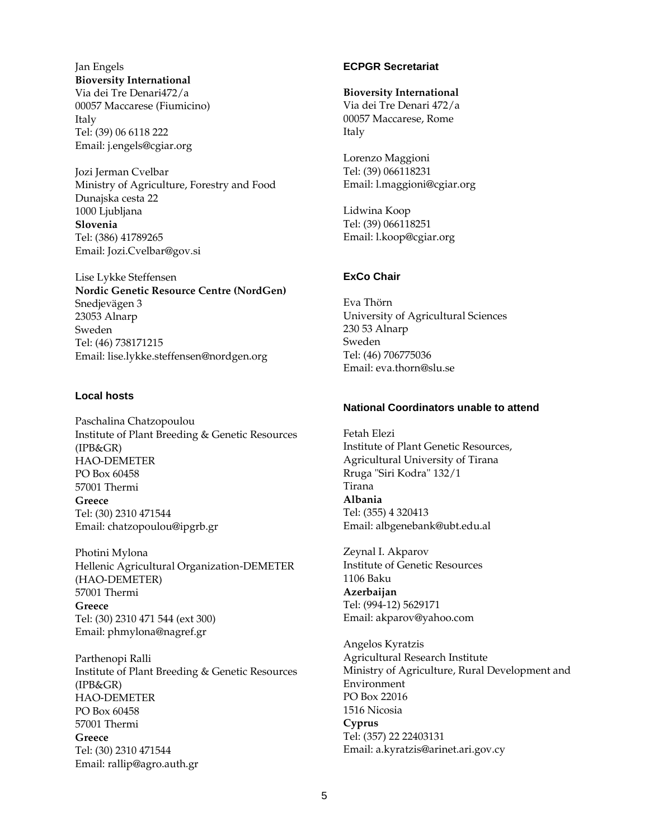Jan Engels **Bioversity International** Via dei Tre Denari472/a 00057 Maccarese (Fiumicino) Italy

Tel: (39) 06 6118 222 Email: j.engels@cgiar.org

Jozi Jerman Cvelbar Ministry of Agriculture, Forestry and Food Dunajska cesta 22 1000 Ljubljana **Slovenia** Tel: (386) 41789265 Email: Jozi.Cvelbar@gov.si

Lise Lykke Steffensen **Nordic Genetic Resource Centre (NordGen)** Snedjevägen 3 23053 Alnarp Sweden Tel: (46) 738171215 Email: lise.lykke.steffensen@nordgen.org

#### **Local hosts**

Paschalina Chatzopoulou Institute of Plant Breeding & Genetic Resources (IPB&GR) HAO-DEMETER PO Box 60458 57001 Thermi **Greece** Tel: (30) 2310 471544 Email[: chatzopoulou@ipgrb.gr](mailto:chatzopoulou@ipgrb.gr)

Photini Mylona Hellenic Agricultural Organization-DEMETER (HAO-DEMETER) 57001 Thermi **Greece**  Tel: (30) 2310 471 544 (ext 300) Email: phmylona@nagref.gr

Parthenopi Ralli Institute of Plant Breeding & Genetic Resources (IPB&GR) HAO-DEMETER PO Box 60458 57001 Thermi **Greece** Tel: (30) 2310 471544 Email[: rallip@agro.auth.gr](mailto:rallip@agro.auth.gr)

### **ECPGR Secretariat**

#### **Bioversity International**

Via dei Tre Denari 472/a 00057 Maccarese, Rome Italy

Lorenzo Maggioni Tel: (39) 066118231 Email: l.maggioni@cgiar.org

Lidwina Koop Tel: (39) 066118251 Email: l.koop@cgiar.org

#### **ExCo Chair**

Eva Thörn University of Agricultural Sciences 230 53 Alnarp Sweden Tel: (46) 706775036 Email: eva.thorn@slu.se

### **National Coordinators unable to attend**

Fetah Elezi Institute of Plant Genetic Resources, Agricultural University of Tirana Rruga "Siri Kodra" 132/1 Tirana **Albania**  Tel: (355) 4 320413 Email: albgenebank@ubt.edu.al

Zeynal I. Akparov Institute of Genetic Resources 1106 Baku **Azerbaijan**  Tel: (994-12) 5629171 Email: akparov@yahoo.com

Angelos Kyratzis Agricultural Research Institute Ministry of Agriculture, Rural Development and Environment PO Box 22016 1516 Nicosia **Cyprus** Tel: (357) 22 22403131 Email: a.kyratzis@arinet.ari.gov.cy